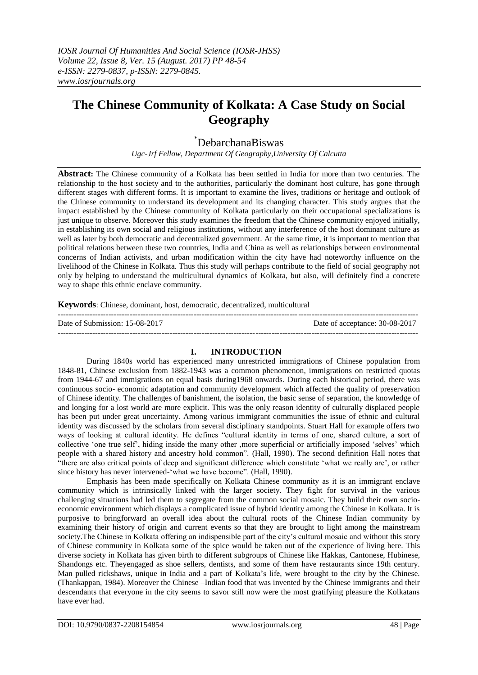# **The Chinese Community of Kolkata: A Case Study on Social Geography**

# \*DebarchanaBiswas

*Ugc-Jrf Fellow, Department Of Geography,University Of Calcutta*

**Abstract:** The Chinese community of a Kolkata has been settled in India for more than two centuries. The relationship to the host society and to the authorities, particularly the dominant host culture, has gone through different stages with different forms. It is important to examine the lives, traditions or heritage and outlook of the Chinese community to understand its development and its changing character. This study argues that the impact established by the Chinese community of Kolkata particularly on their occupational specializations is just unique to observe. Moreover this study examines the freedom that the Chinese community enjoyed initially, in establishing its own social and religious institutions, without any interference of the host dominant culture as well as later by both democratic and decentralized government. At the same time, it is important to mention that political relations between these two countries, India and China as well as relationships between environmental concerns of Indian activists, and urban modification within the city have had noteworthy influence on the livelihood of the Chinese in Kolkata. Thus this study will perhaps contribute to the field of social geography not only by helping to understand the multicultural dynamics of Kolkata, but also, will definitely find a concrete way to shape this ethnic enclave community.

**Keywords**: Chinese, dominant, host, democratic, decentralized, multicultural

---------------------------------------------------------------------------------------------------------------------------------------

Date of Submission: 15-08-2017 Date of acceptance: 30-08-2017

#### **I. INTRODUCTION**

During 1840s world has experienced many unrestricted immigrations of Chinese population from 1848-81, Chinese exclusion from 1882-1943 was a common phenomenon, immigrations on restricted quotas from 1944-67 and immigrations on equal basis during1968 onwards. During each historical period, there was continuous socio- economic adaptation and community development which affected the quality of preservation of Chinese identity. The challenges of banishment, the isolation, the basic sense of separation, the knowledge of and longing for a lost world are more explicit. This was the only reason identity of culturally displaced people has been put under great uncertainty. Among various immigrant communities the issue of ethnic and cultural identity was discussed by the scholars from several disciplinary standpoints. Stuart Hall for example offers two ways of looking at cultural identity. He defines "cultural identity in terms of one, shared culture, a sort of collective "one true self", hiding inside the many other ,more superficial or artificially imposed "selves" which people with a shared history and ancestry hold common". (Hall, 1990). The second definition Hall notes that "there are also critical points of deep and significant difference which constitute "what we really are", or rather since history has never intervened-'what we have become". (Hall, 1990).

Emphasis has been made specifically on Kolkata Chinese community as it is an immigrant enclave community which is intrinsically linked with the larger society. They fight for survival in the various challenging situations had led them to segregate from the common social mosaic. They build their own socioeconomic environment which displays a complicated issue of hybrid identity among the Chinese in Kolkata. It is purposive to bringforward an overall idea about the cultural roots of the Chinese Indian community by examining their history of origin and current events so that they are brought to light among the mainstream society. The Chinese in Kolkata offering an indispensible part of the city's cultural mosaic and without this story of Chinese community in Kolkata some of the spice would be taken out of the experience of living here. This diverse society in Kolkata has given birth to different subgroups of Chinese like Hakkas, Cantonese, Hubinese, Shandongs etc. Theyengaged as shoe sellers, dentists, and some of them have restaurants since 19th century. Man pulled rickshaws, unique in India and a part of Kolkata's life, were brought to the city by the Chinese. (Thankappan, 1984). Moreover the Chinese –Indian food that was invented by the Chinese immigrants and their descendants that everyone in the city seems to savor still now were the most gratifying pleasure the Kolkatans have ever had.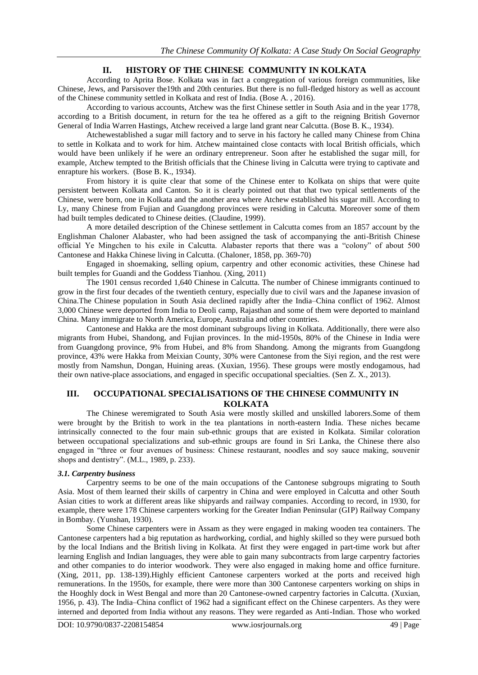# **II. HISTORY OF THE CHINESE COMMUNITY IN KOLKATA**

According to Aprita Bose. Kolkata was in fact a congregation of various foreign communities, like Chinese, Jews, and Parsisover the19th and 20th centuries. But there is no full-fledged history as well as account of the Chinese community settled in Kolkata and rest of India. (Bose A. , 2016).

According to various accounts, Atchew was the first Chinese settler in South Asia and in the year 1778, according to a British document, in return for the tea he offered as a gift to the reigning British Governor General of India Warren Hastings, Atchew received a large land grant near Calcutta. (Bose B. K., 1934).

Atchewestablished a sugar mill factory and to serve in his factory he called many Chinese from China to settle in Kolkata and to work for him. Atchew maintained close contacts with local British officials, which would have been unlikely if he were an ordinary entrepreneur. Soon after he established the sugar mill, for example, Atchew tempted to the British officials that the Chinese living in Calcutta were trying to captivate and enrapture his workers. (Bose B. K., 1934).

From history it is quite clear that some of the Chinese enter to Kolkata on ships that were quite persistent between Kolkata and Canton. So it is clearly pointed out that that two typical settlements of the Chinese, were born, one in Kolkata and the another area where Atchew established his sugar mill. According to Ly, many Chinese from Fujian and Guangdong provinces were residing in Calcutta. Moreover some of them had built temples dedicated to Chinese deities. (Claudine, 1999).

A more detailed description of the Chinese settlement in Calcutta comes from an 1857 account by the Englishman Chaloner Alabaster, who had been assigned the task of accompanying the anti-British Chinese official Ye Mingchen to his exile in Calcutta. Alabaster reports that there was a "colony" of about 500 Cantonese and Hakka Chinese living in Calcutta. (Chaloner, 1858, pp. 369-70)

Engaged in shoemaking, selling opium, carpentry and other economic activities, these Chinese had built temples for Guandi and the Goddess Tianhou. (Xing, 2011)

The 1901 census recorded 1,640 Chinese in Calcutta. The number of Chinese immigrants continued to grow in the first four decades of the twentieth century, especially due to civil wars and the Japanese invasion of China.The Chinese population in South Asia declined rapidly after the India–China conflict of 1962. Almost 3,000 Chinese were deported from India to Deoli camp, Rajasthan and some of them were deported to mainland China. Many immigrate to North America, Europe, Australia and other countries.

Cantonese and Hakka are the most dominant subgroups living in Kolkata. Additionally, there were also migrants from Hubei, Shandong, and Fujian provinces. In the mid-1950s, 80% of the Chinese in India were from Guangdong province, 9% from Hubei, and 8% from Shandong. Among the migrants from Guangdong province, 43% were Hakka from Meixian County, 30% were Cantonese from the Siyi region, and the rest were mostly from Namshun, Dongan, Huining areas. (Xuxian, 1956). These groups were mostly endogamous, had their own native-place associations, and engaged in specific occupational specialties. (Sen Z. X., 2013).

### **III. OCCUPATIONAL SPECIALISATIONS OF THE CHINESE COMMUNITY IN KOLKATA**

The Chinese weremigrated to South Asia were mostly skilled and unskilled laborers.Some of them were brought by the British to work in the tea plantations in north-eastern India. These niches became intrinsically connected to the four main sub-ethnic groups that are existed in Kolkata. Similar coloration between occupational specializations and sub-ethnic groups are found in Sri Lanka, the Chinese there also engaged in "three or four avenues of business: Chinese restaurant, noodles and soy sauce making, souvenir shops and dentistry". (M.L., 1989, p. 233).

#### *3.1. Carpentry business*

Carpentry seems to be one of the main occupations of the Cantonese subgroups migrating to South Asia. Most of them learned their skills of carpentry in China and were employed in Calcutta and other South Asian cities to work at different areas like shipyards and railway companies. According to record, in 1930, for example, there were 178 Chinese carpenters working for the Greater Indian Peninsular (GIP) Railway Company in Bombay. (Yunshan, 1930).

Some Chinese carpenters were in Assam as they were engaged in making wooden tea containers. The Cantonese carpenters had a big reputation as hardworking, cordial, and highly skilled so they were pursued both by the local Indians and the British living in Kolkata. At first they were engaged in part-time work but after learning English and Indian languages, they were able to gain many subcontracts from large carpentry factories and other companies to do interior woodwork. They were also engaged in making home and office furniture. (Xing, 2011, pp. 138-139).Highly efficient Cantonese carpenters worked at the ports and received high remunerations. In the 1950s, for example, there were more than 300 Cantonese carpenters working on ships in the Hooghly dock in West Bengal and more than 20 Cantonese-owned carpentry factories in Calcutta. (Xuxian, 1956, p. 43). The India–China conflict of 1962 had a significant effect on the Chinese carpenters. As they were interned and deported from India without any reasons. They were regarded as Anti-Indian. Those who worked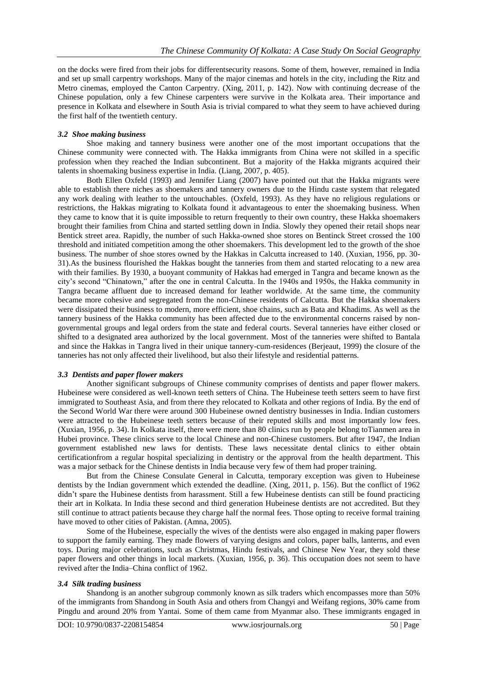on the docks were fired from their jobs for differentsecurity reasons. Some of them, however, remained in India and set up small carpentry workshops. Many of the major cinemas and hotels in the city, including the Ritz and Metro cinemas, employed the Canton Carpentry. (Xing, 2011, p. 142). Now with continuing decrease of the Chinese population, only a few Chinese carpenters were survive in the Kolkata area. Their importance and presence in Kolkata and elsewhere in South Asia is trivial compared to what they seem to have achieved during the first half of the twentieth century.

#### *3.2 Shoe making business*

Shoe making and tannery business were another one of the most important occupations that the Chinese community were connected with. The Hakka immigrants from China were not skilled in a specific profession when they reached the Indian subcontinent. But a majority of the Hakka migrants acquired their talents in shoemaking business expertise in India. (Liang, 2007, p. 405).

Both Ellen Oxfeld (1993) and Jennifer Liang (2007) have pointed out that the Hakka migrants were able to establish there niches as shoemakers and tannery owners due to the Hindu caste system that relegated any work dealing with leather to the untouchables. (Oxfeld, 1993). As they have no religious regulations or restrictions, the Hakkas migrating to Kolkata found it advantageous to enter the shoemaking business. When they came to know that it is quite impossible to return frequently to their own country, these Hakka shoemakers brought their families from China and started settling down in India. Slowly they opened their retail shops near Bentick street area. Rapidly, the number of such Hakka-owned shoe stores on Bentinck Street crossed the 100 threshold and initiated competition among the other shoemakers. This development led to the growth of the shoe business. The number of shoe stores owned by the Hakkas in Calcutta increased to 140. (Xuxian, 1956, pp. 30- 31).As the business flourished the Hakkas bought the tanneries from them and started relocating to a new area with their families. By 1930, a buoyant community of Hakkas had emerged in Tangra and became known as the city"s second "Chinatown," after the one in central Calcutta. In the 1940s and 1950s, the Hakka community in Tangra became affluent due to increased demand for leather worldwide. At the same time, the community became more cohesive and segregated from the non-Chinese residents of Calcutta. But the Hakka shoemakers were dissipated their business to modern, more efficient, shoe chains, such as Bata and Khadims. As well as the tannery business of the Hakka community has been affected due to the environmental concerns raised by nongovernmental groups and legal orders from the state and federal courts. Several tanneries have either closed or shifted to a designated area authorized by the local government. Most of the tanneries were shifted to Bantala and since the Hakkas in Tangra lived in their unique tannery-cum-residences (Berjeaut, 1999) the closure of the tanneries has not only affected their livelihood, but also their lifestyle and residential patterns.

#### *3.3 Dentists and paper flower makers*

Another significant subgroups of Chinese community comprises of dentists and paper flower makers. Hubeinese were considered as well-known teeth setters of China. The Hubeinese teeth setters seem to have first immigrated to Southeast Asia, and from there they relocated to Kolkata and other regions of India. By the end of the Second World War there were around 300 Hubeinese owned dentistry businesses in India. Indian customers were attracted to the Hubeinese teeth setters because of their reputed skills and most importantly low fees. (Xuxian, 1956, p. 34). In Kolkata itself, there were more than 80 clinics run by people belong toTianmen area in Hubei province. These clinics serve to the local Chinese and non-Chinese customers. But after 1947, the Indian government established new laws for dentists. These laws necessitate dental clinics to either obtain certificationfrom a regular hospital specializing in dentistry or the approval from the health department. This was a major setback for the Chinese dentists in India because very few of them had proper training.

But from the Chinese Consulate General in Calcutta, temporary exception was given to Hubeinese dentists by the Indian government which extended the deadline. (Xing, 2011, p. 156). But the conflict of 1962 didn't spare the Hubinese dentists from harassment. Still a few Hubeinese dentists can still be found practicing their art in Kolkata. In India these second and third generation Hubeinese dentists are not accredited. But they still continue to attract patients because they charge half the normal fees. Those opting to receive formal training have moved to other cities of Pakistan. (Amna, 2005).

Some of the Hubeinese, especially the wives of the dentists were also engaged in making paper flowers to support the family earning. They made flowers of varying designs and colors, paper balls, lanterns, and even toys. During major celebrations, such as Christmas, Hindu festivals, and Chinese New Year, they sold these paper flowers and other things in local markets. (Xuxian, 1956, p. 36). This occupation does not seem to have revived after the India–China conflict of 1962.

#### *3.4 Silk trading business*

Shandong is an another subgroup commonly known as silk traders which encompasses more than 50% of the immigrants from Shandong in South Asia and others from Changyi and Weifang regions, 30% came from Pingdu and around 20% from Yantai. Some of them came from Myanmar also. These immigrants engaged in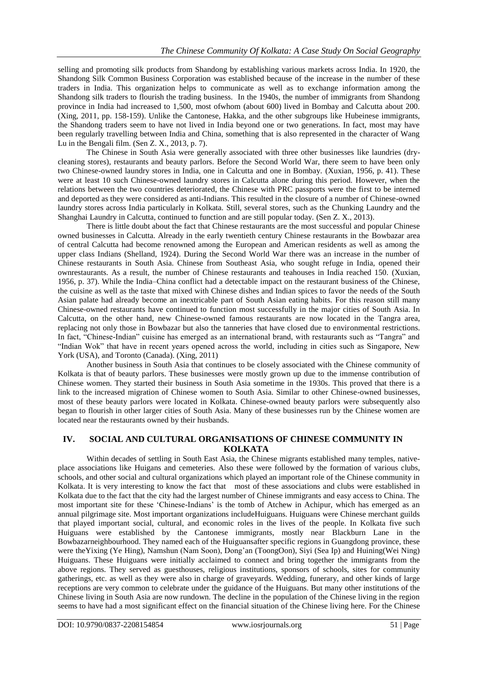selling and promoting silk products from Shandong by establishing various markets across India. In 1920, the Shandong Silk Common Business Corporation was established because of the increase in the number of these traders in India. This organization helps to communicate as well as to exchange information among the Shandong silk traders to flourish the trading business. In the 1940s, the number of immigrants from Shandong province in India had increased to 1,500, most ofwhom (about 600) lived in Bombay and Calcutta about 200. (Xing, 2011, pp. 158-159). Unlike the Cantonese, Hakka, and the other subgroups like Hubeinese immigrants, the Shandong traders seem to have not lived in India beyond one or two generations. In fact, most may have been regularly travelling between India and China, something that is also represented in the character of Wang Lu in the Bengali film. (Sen Z. X., 2013, p. 7).

The Chinese in South Asia were generally associated with three other businesses like laundries (drycleaning stores), restaurants and beauty parlors. Before the Second World War, there seem to have been only two Chinese-owned laundry stores in India, one in Calcutta and one in Bombay. (Xuxian, 1956, p. 41). These were at least 10 such Chinese-owned laundry stores in Calcutta alone during this period. However, when the relations between the two countries deteriorated, the Chinese with PRC passports were the first to be interned and deported as they were considered as anti-Indians. This resulted in the closure of a number of Chinese-owned laundry stores across India particularly in Kolkata. Still, several stores, such as the Chunking Laundry and the Shanghai Laundry in Calcutta, continued to function and are still popular today. (Sen Z. X., 2013).

There is little doubt about the fact that Chinese restaurants are the most successful and popular Chinese owned businesses in Calcutta. Already in the early twentieth century Chinese restaurants in the Bowbazar area of central Calcutta had become renowned among the European and American residents as well as among the upper class Indians (Shelland, 1924). During the Second World War there was an increase in the number of Chinese restaurants in South Asia. Chinese from Southeast Asia, who sought refuge in India, opened their ownrestaurants. As a result, the number of Chinese restaurants and teahouses in India reached 150. (Xuxian, 1956, p. 37). While the India–China conflict had a detectable impact on the restaurant business of the Chinese, the cuisine as well as the taste that mixed with Chinese dishes and Indian spices to favor the needs of the South Asian palate had already become an inextricable part of South Asian eating habits. For this reason still many Chinese-owned restaurants have continued to function most successfully in the major cities of South Asia. In Calcutta, on the other hand, new Chinese-owned famous restaurants are now located in the Tangra area, replacing not only those in Bowbazar but also the tanneries that have closed due to environmental restrictions. In fact, "Chinese-Indian" cuisine has emerged as an international brand, with restaurants such as "Tangra" and "Indian Wok" that have in recent years opened across the world, including in cities such as Singapore, New York (USA), and Toronto (Canada). (Xing, 2011)

Another business in South Asia that continues to be closely associated with the Chinese community of Kolkata is that of beauty parlors. These businesses were mostly grown up due to the immense contribution of Chinese women. They started their business in South Asia sometime in the 1930s. This proved that there is a link to the increased migration of Chinese women to South Asia. Similar to other Chinese-owned businesses, most of these beauty parlors were located in Kolkata. Chinese-owned beauty parlors were subsequently also began to flourish in other larger cities of South Asia. Many of these businesses run by the Chinese women are located near the restaurants owned by their husbands.

# **IV. SOCIAL AND CULTURAL ORGANISATIONS OF CHINESE COMMUNITY IN KOLKATA**

Within decades of settling in South East Asia, the Chinese migrants established many temples, nativeplace associations like Huigans and cemeteries. Also these were followed by the formation of various clubs, schools, and other social and cultural organizations which played an important role of the Chinese community in Kolkata. It is very interesting to know the fact that most of these associations and clubs were established in Kolkata due to the fact that the city had the largest number of Chinese immigrants and easy access to China. The most important site for these 'Chinese-Indians' is the tomb of Atchew in Achipur, which has emerged as an annual pilgrimage site. Most important organizations includeHuiguans. Huiguans were Chinese merchant guilds that played important social, cultural, and economic roles in the lives of the people. In Kolkata five such Huiguans were established by the Cantonese immigrants, mostly near Blackburn Lane in the Bowbazarneighbourhood. They named each of the Huiguansafter specific regions in Guangdong province, these were theYixing (Ye Hing), Namshun (Nam Soon), Dong"an (ToongOon), Siyi (Sea Ip) and Huining(Wei Ning) Huiguans. These Huiguans were initially acclaimed to connect and bring together the immigrants from the above regions. They served as guesthouses, religious institutions, sponsors of schools, sites for community gatherings, etc. as well as they were also in charge of graveyards. Wedding, funerary, and other kinds of large receptions are very common to celebrate under the guidance of the Huiguans. But many other institutions of the Chinese living in South Asia are now rundown. The decline in the population of the Chinese living in the region seems to have had a most significant effect on the financial situation of the Chinese living here. For the Chinese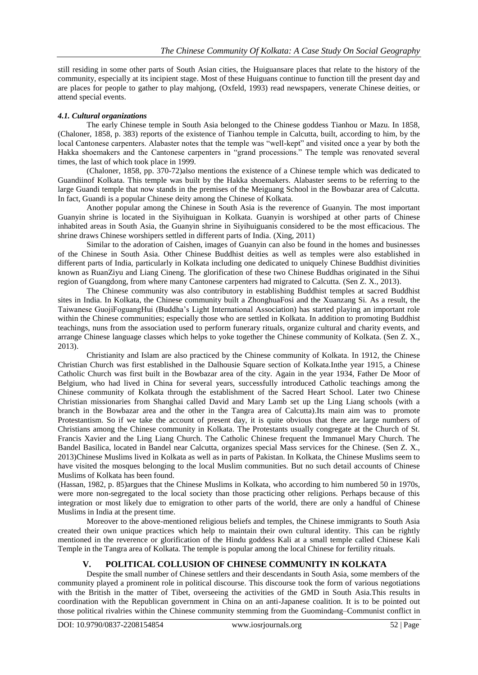still residing in some other parts of South Asian cities, the Huiguansare places that relate to the history of the community, especially at its incipient stage. Most of these Huiguans continue to function till the present day and are places for people to gather to play mahjong, (Oxfeld, 1993) read newspapers, venerate Chinese deities, or attend special events.

#### *4.1. Cultural organizations*

The early Chinese temple in South Asia belonged to the Chinese goddess Tianhou or Mazu. In 1858, (Chaloner, 1858, p. 383) reports of the existence of Tianhou temple in Calcutta, built, according to him, by the local Cantonese carpenters. Alabaster notes that the temple was "well-kept" and visited once a year by both the Hakka shoemakers and the Cantonese carpenters in "grand processions." The temple was renovated several times, the last of which took place in 1999.

(Chaloner, 1858, pp. 370-72)also mentions the existence of a Chinese temple which was dedicated to Guandiinof Kolkata. This temple was built by the Hakka shoemakers. Alabaster seems to be referring to the large Guandi temple that now stands in the premises of the Meiguang School in the Bowbazar area of Calcutta. In fact, Guandi is a popular Chinese deity among the Chinese of Kolkata.

Another popular among the Chinese in South Asia is the reverence of Guanyin. The most important Guanyin shrine is located in the Siyihuiguan in Kolkata. Guanyin is worshiped at other parts of Chinese inhabited areas in South Asia, the Guanyin shrine in Siyihuiguanis considered to be the most efficacious. The shrine draws Chinese worshipers settled in different parts of India. (Xing, 2011)

Similar to the adoration of Caishen, images of Guanyin can also be found in the homes and businesses of the Chinese in South Asia. Other Chinese Buddhist deities as well as temples were also established in different parts of India, particularly in Kolkata including one dedicated to uniquely Chinese Buddhist divinities known as RuanZiyu and Liang Cineng. The glorification of these two Chinese Buddhas originated in the Sihui region of Guangdong, from where many Cantonese carpenters had migrated to Calcutta. (Sen Z. X., 2013).

The Chinese community was also contributory in establishing Buddhist temples at sacred Buddhist sites in India. In Kolkata, the Chinese community built a ZhonghuaFosi and the Xuanzang Si. As a result, the Taiwanese GuojiFoguangHui (Buddha"s Light International Association) has started playing an important role within the Chinese communities; especially those who are settled in Kolkata. In addition to promoting Buddhist teachings, nuns from the association used to perform funerary rituals, organize cultural and charity events, and arrange Chinese language classes which helps to yoke together the Chinese community of Kolkata. (Sen Z. X., 2013).

Christianity and Islam are also practiced by the Chinese community of Kolkata. In 1912, the Chinese Christian Church was first established in the Dalhousie Square section of Kolkata.Inthe year 1915, a Chinese Catholic Church was first built in the Bowbazar area of the city. Again in the year 1934, Father De Moor of Belgium, who had lived in China for several years, successfully introduced Catholic teachings among the Chinese community of Kolkata through the establishment of the Sacred Heart School. Later two Chinese Christian missionaries from Shanghai called David and Mary Lamb set up the Ling Liang schools (with a branch in the Bowbazar area and the other in the Tangra area of Calcutta).Its main aim was to promote Protestantism. So if we take the account of present day, it is quite obvious that there are large numbers of Christians among the Chinese community in Kolkata. The Protestants usually congregate at the Church of St. Francis Xavier and the Ling Liang Church. The Catholic Chinese frequent the Immanuel Mary Church. The Bandel Basilica, located in Bandel near Calcutta, organizes special Mass services for the Chinese. (Sen Z. X., 2013)Chinese Muslims lived in Kolkata as well as in parts of Pakistan. In Kolkata, the Chinese Muslims seem to have visited the mosques belonging to the local Muslim communities. But no such detail accounts of Chinese Muslims of Kolkata has been found.

(Hassan, 1982, p. 85)argues that the Chinese Muslims in Kolkata, who according to him numbered 50 in 1970s, were more non-segregated to the local society than those practicing other religions. Perhaps because of this integration or most likely due to emigration to other parts of the world, there are only a handful of Chinese Muslims in India at the present time.

Moreover to the above-mentioned religious beliefs and temples, the Chinese immigrants to South Asia created their own unique practices which help to maintain their own cultural identity. This can be rightly mentioned in the reverence or glorification of the Hindu goddess Kali at a small temple called Chinese Kali Temple in the Tangra area of Kolkata. The temple is popular among the local Chinese for fertility rituals.

#### **V. POLITICAL COLLUSION OF CHINESE COMMUNITY IN KOLKATA**

Despite the small number of Chinese settlers and their descendants in South Asia, some members of the community played a prominent role in political discourse. This discourse took the form of various negotiations with the British in the matter of Tibet, overseeing the activities of the GMD in South Asia.This results in coordination with the Republican government in China on an anti-Japanese coalition. It is to be pointed out those political rivalries within the Chinese community stemming from the Guomindang–Communist conflict in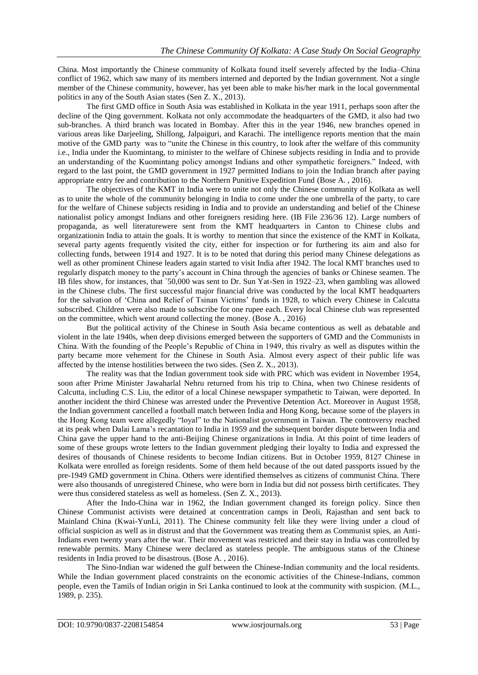China. Most importantly the Chinese community of Kolkata found itself severely affected by the India–China conflict of 1962, which saw many of its members interned and deported by the Indian government. Not a single member of the Chinese community, however, has yet been able to make his/her mark in the local governmental politics in any of the South Asian states (Sen Z. X., 2013).

The first GMD office in South Asia was established in Kolkata in the year 1911, perhaps soon after the decline of the Qing government. Kolkata not only accommodate the headquarters of the GMD, it also had two sub-branches. A third branch was located in Bombay. After this in the year 1946, new branches opened in various areas like Darjeeling, Shillong, Jalpaiguri, and Karachi. The intelligence reports mention that the main motive of the GMD party was to "unite the Chinese in this country, to look after the welfare of this community i.e., India under the Kuomintang, to minister to the welfare of Chinese subjects residing in India and to provide an understanding of the Kuomintang policy amongst Indians and other sympathetic foreigners." Indeed, with regard to the last point, the GMD government in 1927 permitted Indians to join the Indian branch after paying appropriate entry fee and contribution to the Northern Punitive Expedition Fund (Bose A. , 2016).

The objectives of the KMT in India were to unite not only the Chinese community of Kolkata as well as to unite the whole of the community belonging in India to come under the one umbrella of the party, to care for the welfare of Chinese subjects residing in India and to provide an understanding and belief of the Chinese nationalist policy amongst Indians and other foreigners residing here. (IB File 236/36 12). Large numbers of propaganda, as well literaturewere sent from the KMT headquarters in Canton to Chinese clubs and organizationin India to attain the goals. It is worthy to mention that since the existence of the KMT in Kolkata, several party agents frequently visited the city, either for inspection or for furthering its aim and also for collecting funds, between 1914 and 1927. It is to be noted that during this period many Chinese delegations as well as other prominent Chinese leaders again started to visit India after 1942. The local KMT branches used to regularly dispatch money to the party"s account in China through the agencies of banks or Chinese seamen. The IB files show, for instances, that `50,000 was sent to Dr. Sun Yat-Sen in 1922–23, when gambling was allowed in the Chinese clubs. The first successful major financial drive was conducted by the local KMT headquarters for the salvation of 'China and Relief of Tsinan Victims' funds in 1928, to which every Chinese in Calcutta subscribed. Children were also made to subscribe for one rupee each. Every local Chinese club was represented on the committee, which went around collecting the money. (Bose A. , 2016)

But the political activity of the Chinese in South Asia became contentious as well as debatable and violent in the late 1940s, when deep divisions emerged between the supporters of GMD and the Communists in China. With the founding of the People"s Republic of China in 1949, this rivalry as well as disputes within the party became more vehement for the Chinese in South Asia. Almost every aspect of their public life was affected by the intense hostilities between the two sides. (Sen Z. X., 2013).

The reality was that the Indian government took side with PRC which was evident in November 1954, soon after Prime Minister Jawaharlal Nehru returned from his trip to China, when two Chinese residents of Calcutta, including C.S. Liu, the editor of a local Chinese newspaper sympathetic to Taiwan, were deported. In another incident the third Chinese was arrested under the Preventive Detention Act. Moreover in August 1958, the Indian government cancelled a football match between India and Hong Kong, because some of the players in the Hong Kong team were allegedly "loyal" to the Nationalist government in Taiwan. The controversy reached at its peak when Dalai Lama"s recantation to India in 1959 and the subsequent border dispute between India and China gave the upper hand to the anti-Beijing Chinese organizations in India. At this point of time leaders of some of these groups wrote letters to the Indian government pledging their loyalty to India and expressed the desires of thousands of Chinese residents to become Indian citizens. But in October 1959, 8127 Chinese in Kolkata were enrolled as foreign residents. Some of them held because of the out dated passports issued by the pre-1949 GMD government in China. Others were identified themselves as citizens of communist China. There were also thousands of unregistered Chinese, who were born in India but did not possess birth certificates. They were thus considered stateless as well as homeless. (Sen Z. X., 2013).

After the Indo-China war in 1962, the Indian government changed its foreign policy. Since then Chinese Communist activists were detained at concentration camps in Deoli, Rajasthan and sent back to Mainland China (Kwai-YunLi, 2011). The Chinese community felt like they were living under a cloud of official suspicion as well as in distrust and that the Government was treating them as Communist spies, an Anti-Indians even twenty years after the war. Their movement was restricted and their stay in India was controlled by renewable permits. Many Chinese were declared as stateless people. The ambiguous status of the Chinese residents in India proved to be disastrous. (Bose A. , 2016).

The Sino-Indian war widened the gulf between the Chinese-Indian community and the local residents. While the Indian government placed constraints on the economic activities of the Chinese-Indians, common people, even the Tamils of Indian origin in Sri Lanka continued to look at the community with suspicion. (M.L., 1989, p. 235).